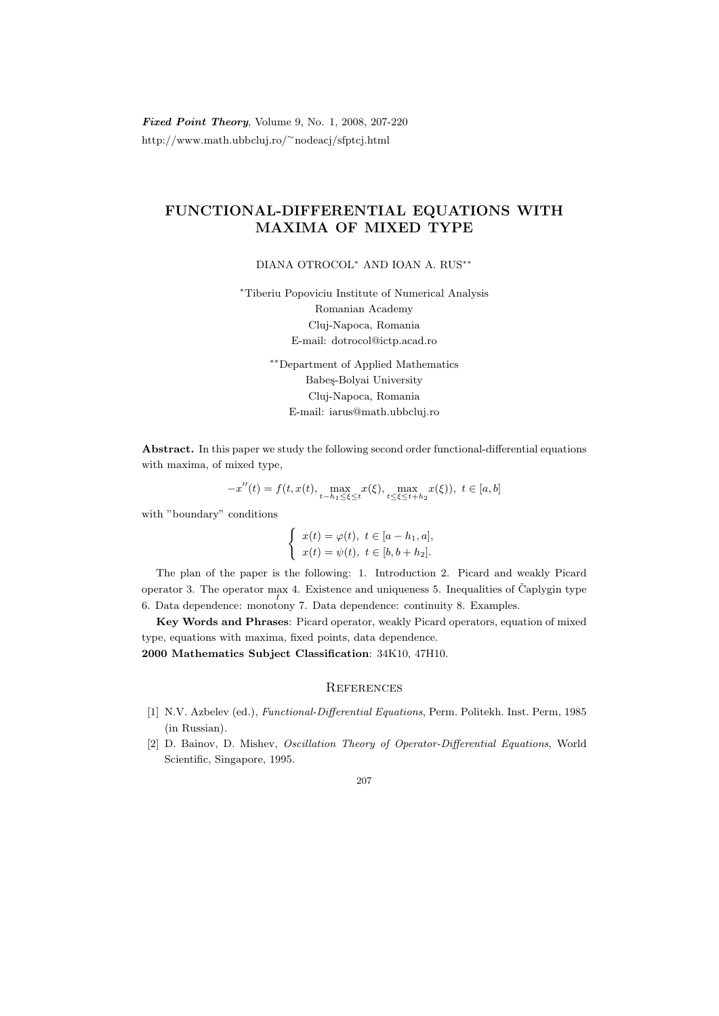Fixed Point Theory, Volume 9, No. 1, 2008, 207-220 http://www.math.ubbcluj.ro/<sup>∼</sup>nodeacj/sfptcj.html

## FUNCTIONAL-DIFFERENTIAL EQUATIONS WITH MAXIMA OF MIXED TYPE

DIANA OTROCOL<sup>∗</sup> AND IOAN A. RUS∗∗

<sup>∗</sup>Tiberiu Popoviciu Institute of Numerical Analysis Romanian Academy Cluj-Napoca, Romania E-mail: dotrocol@ictp.acad.ro

> ∗∗Department of Applied Mathematics Babeş-Bolyai University Cluj-Napoca, Romania E-mail: iarus@math.ubbcluj.ro

Abstract. In this paper we study the following second order functional-differential equations with maxima, of mixed type,

$$
-x''(t)=f(t,x(t),\max_{t-h_1\leq\xi\leq t}x(\xi),\max_{t\leq\xi\leq t+h_2}x(\xi)),\ t\in[a,b]
$$

with "boundary" conditions

$$
\begin{cases}\nx(t) = \varphi(t), \ t \in [a - h_1, a], \\
x(t) = \psi(t), \ t \in [b, b + h_2].\n\end{cases}
$$

The plan of the paper is the following: 1. Introduction 2. Picard and weakly Picard operator 3. The operator max 4. Existence and uniqueness 5. Inequalities of Čaplygin type 6. Data dependence: monotony 7. Data dependence: continuity 8. Examples.

Key Words and Phrases: Picard operator, weakly Picard operators, equation of mixed type, equations with maxima, fixed points, data dependence.

2000 Mathematics Subject Classification: 34K10, 47H10.

## **REFERENCES**

- [1] N.V. Azbelev (ed.), Functional-Differential Equations, Perm. Politekh. Inst. Perm, 1985 (in Russian).
- [2] D. Bainov, D. Mishev, Oscillation Theory of Operator-Differential Equations, World Scientific, Singapore, 1995.

## 207